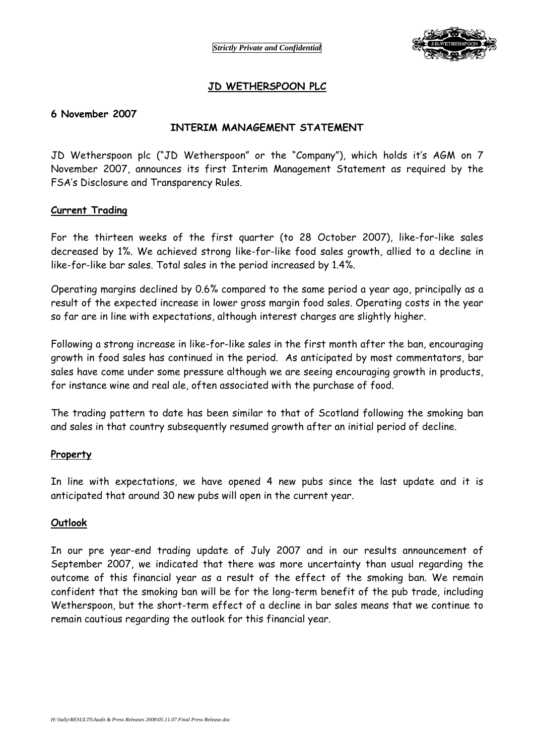

# **JD WETHERSPOON PLC**

#### **6 November 2007**

## **INTERIM MANAGEMENT STATEMENT**

JD Wetherspoon plc ("JD Wetherspoon" or the "Company"), which holds it's AGM on 7 November 2007, announces its first Interim Management Statement as required by the FSA's Disclosure and Transparency Rules.

#### **Current Trading**

For the thirteen weeks of the first quarter (to 28 October 2007), like-for-like sales decreased by 1%. We achieved strong like-for-like food sales growth, allied to a decline in like-for-like bar sales. Total sales in the period increased by 1.4%.

Operating margins declined by 0.6% compared to the same period a year ago, principally as a result of the expected increase in lower gross margin food sales. Operating costs in the year so far are in line with expectations, although interest charges are slightly higher.

Following a strong increase in like-for-like sales in the first month after the ban, encouraging growth in food sales has continued in the period. As anticipated by most commentators, bar sales have come under some pressure although we are seeing encouraging growth in products, for instance wine and real ale, often associated with the purchase of food.

The trading pattern to date has been similar to that of Scotland following the smoking ban and sales in that country subsequently resumed growth after an initial period of decline.

#### **Property**

In line with expectations, we have opened 4 new pubs since the last update and it is anticipated that around 30 new pubs will open in the current year.

#### **Outlook**

In our pre year-end trading update of July 2007 and in our results announcement of September 2007, we indicated that there was more uncertainty than usual regarding the outcome of this financial year as a result of the effect of the smoking ban. We remain confident that the smoking ban will be for the long-term benefit of the pub trade, including Wetherspoon, but the short-term effect of a decline in bar sales means that we continue to remain cautious regarding the outlook for this financial year.